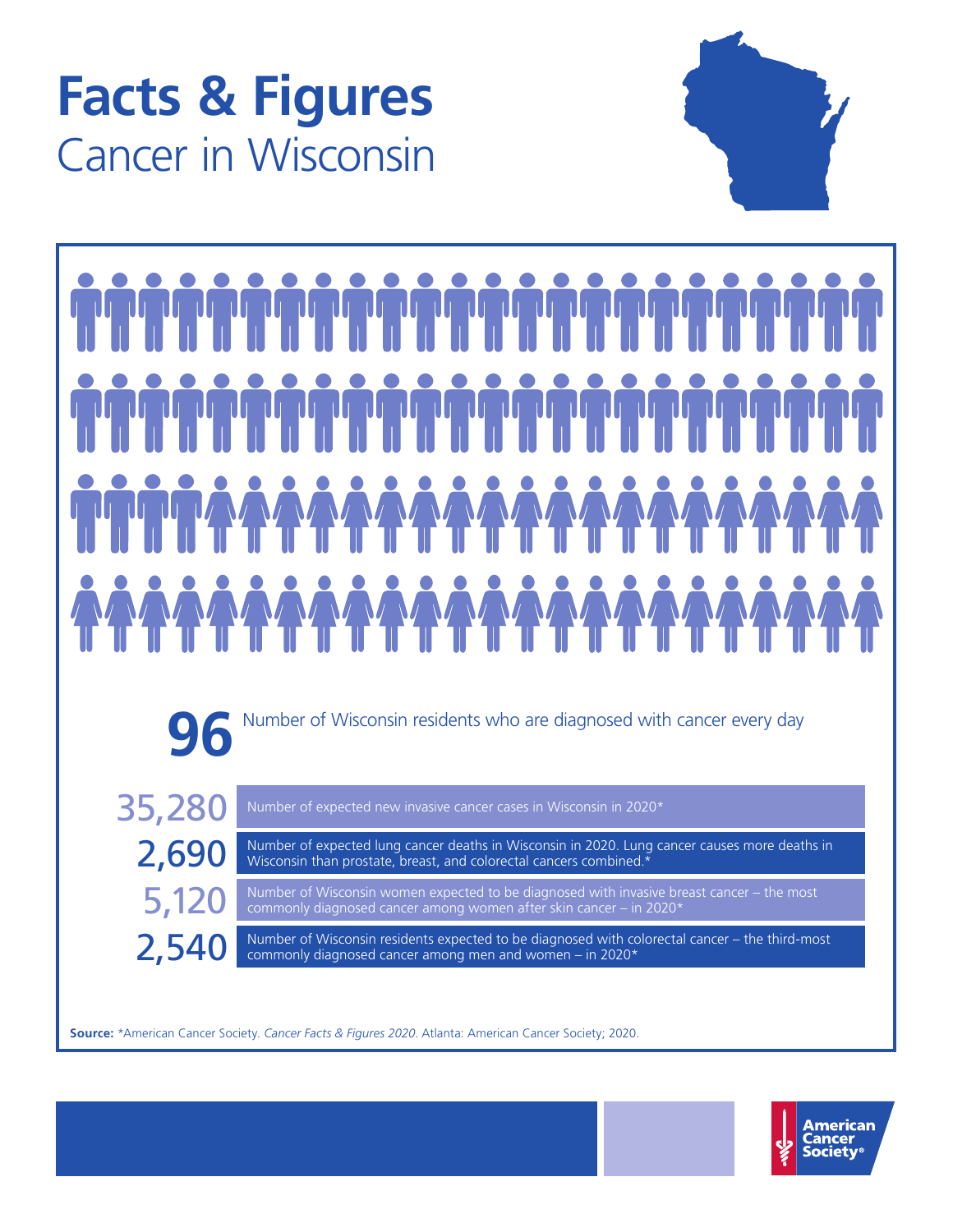# **Facts & Figures** Cancer in Wisconsin



**96** Number of Wisconsin residents who are diagnosed with cancer every day

35,280 Number of expected new invasive cancer cases in Wisconsin in 2020\*

2,690 Number of expected lung cancer deaths in Wisconsin in 2020. Lung cancer causes more deaths in Wisconsin than prostate, breast, and colorectal cancers combined.\*

5,120 Number of Wisconsin women expected to be diagnosed with invasive breast cancer – the most commonly diagnosed cancer among women after skin cancer – in 2020\*

2,540 Number of Wisconsin residents expected to be diagnosed with colorectal cancer – the third-most commonly diagnosed cancer among men and women – in 2020\* commonly diagnosed cancer among men and women – in 2020\*

**Source:** \*American Cancer Society. *Cancer Facts & Figures 2020*. Atlanta: American Cancer Society; 2020.

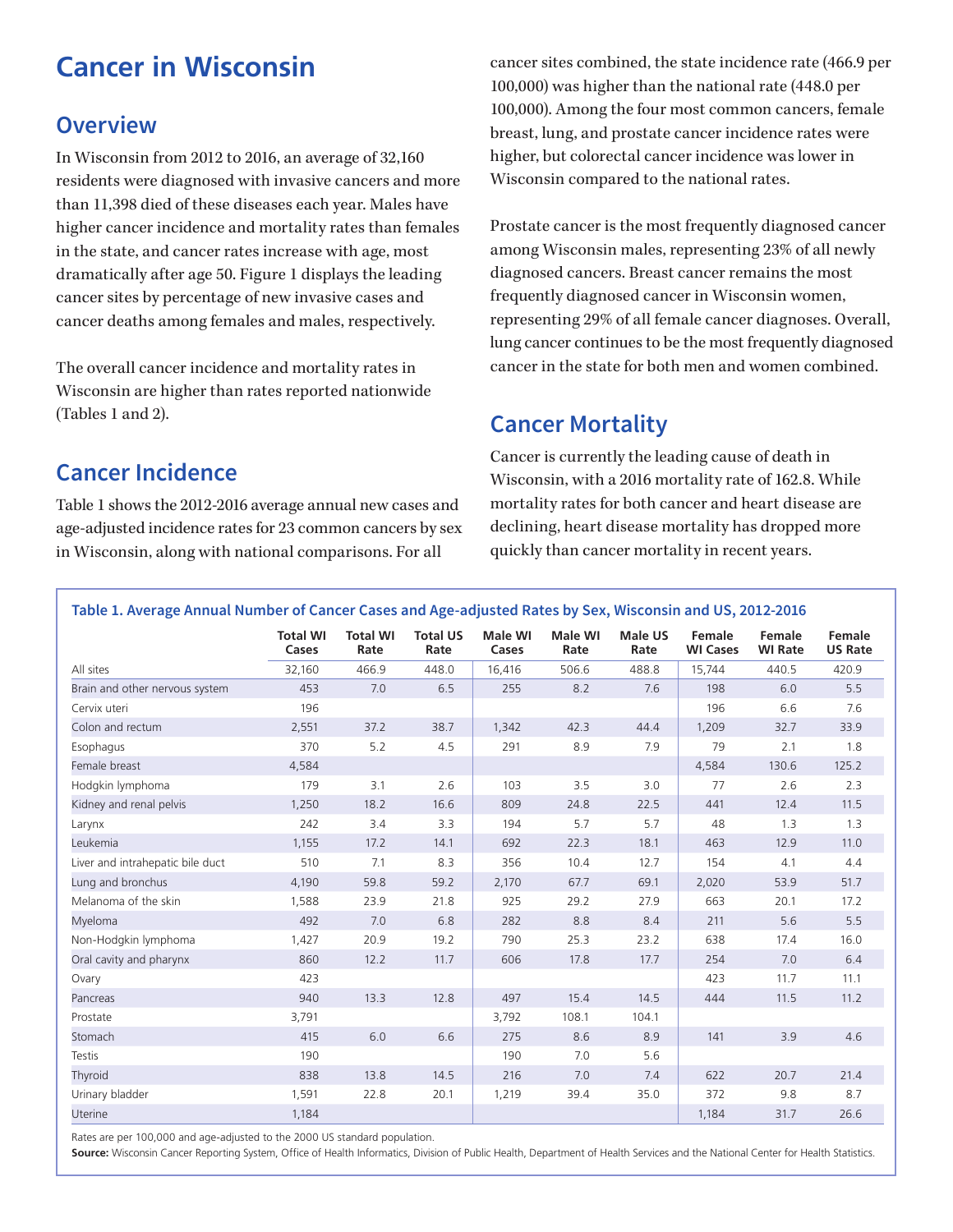# **Cancer in Wisconsin**

## **Overview**

In Wisconsin from 2012 to 2016, an average of 32,160 residents were diagnosed with invasive cancers and more than 11,398 died of these diseases each year. Males have higher cancer incidence and mortality rates than females in the state, and cancer rates increase with age, most dramatically after age 50. Figure 1 displays the leading cancer sites by percentage of new invasive cases and cancer deaths among females and males, respectively.

The overall cancer incidence and mortality rates in Wisconsin are higher than rates reported nationwide (Tables 1 and 2).

cancer sites combined, the state incidence rate (466.9 per 100,000) was higher than the national rate (448.0 per 100,000). Among the four most common cancers, female breast, lung, and prostate cancer incidence rates were higher, but colorectal cancer incidence was lower in Wisconsin compared to the national rates.

Prostate cancer is the most frequently diagnosed cancer among Wisconsin males, representing 23% of all newly diagnosed cancers. Breast cancer remains the most frequently diagnosed cancer in Wisconsin women, representing 29% of all female cancer diagnoses. Overall, lung cancer continues to be the most frequently diagnosed cancer in the state for both men and women combined.

#### **Cancer Mortality**

## **Cancer Incidence**

Table 1 shows the 2012-2016 average annual new cases and age-adjusted incidence rates for 23 common cancers by sex in Wisconsin, along with national comparisons. For all

Cancer is currently the leading cause of death in Wisconsin, with a 2016 mortality rate of 162.8. While mortality rates for both cancer and heart disease are declining, heart disease mortality has dropped more quickly than cancer mortality in recent years.

#### **Table 1. Average Annual Number of Cancer Cases and Age-adjusted Rates by Sex, Wisconsin and US, 2012-2016 Total WI Cases Total WI Rate Total US Rate Male WI Cases Male WI Rate Male US Rate Female WI Cases Female WI Rate Female US Rate** All sites 32,160 466.9 448.0 16,416 506.6 488.8 15,744 440.5 420.9 Brain and other nervous system 453 7.0 6.5 255 8.2 7.6 198 6.0 5.5 Cervix uteri 196 196 6.6 7.6 Colon and rectum 2,551 37.2 38.7 1,342 42.3 44.4 1,209 32.7 33.9 Esophagus 370 5.2 4.5 291 8.9 7.9 79 2.1 1.8 Female breast 130.6  $4,584$  4,584  $4,584$   $4,584$   $4,584$   $130.6$   $125.2$ Hodgkin lymphoma 179 3.1 2.6 103 3.5 3.0 77 2.6 2.3 Kidney and renal pelvis 11.5 11.50 18.2 16.6 809 24.8 22.5 441 12.4 11.5 Larynx 242 3.4 3.3 194 5.7 5.7 48 1.3 1.3 Leukemia 1,155 17.2 14.1 692 22.3 18.1 463 12.9 11.0 Liver and intrahepatic bile duct 510 7.1 8.3 356 10.4 12.7 154 4.1 4.4 Lung and bronchus 4,190 59.8 59.2 2,170 67.7 69.1 2,020 53.9 51.7 Melanoma of the skin 1,588 23.9 21.8 925 29.2 27.9 663 20.1 17.2 Myeloma 492 7.0 6.8 282 8.8 8.4 211 5.6 5.5 Non-Hodgkin lymphoma 1,427 20.9 19.2 790 25.3 23.2 638 17.4 16.0 Oral cavity and pharynx 860 12.2 11.7 606 17.8 17.7 254 7.0 6.4 Ovary 423 423 11.7 11.1 Pancreas 940 13.3 12.8 497 15.4 14.5 444 11.5 11.2 Prostate 3,791 3,792 108.1 104.1 Stomach 415 6.0 6.6 275 8.6 8.9 141 3.9 4.6 Testis 190 190 7.0 5.6 Thyroid 838 13.8 14.5 216 7.0 7.4 622 20.7 21.4 Urinary bladder 1,591 22.8 20.1 1,219 39.4 35.0 372 9.8 8.7 Uterine 1,184 1,184 31.7 26.6

Rates are per 100,000 and age-adjusted to the 2000 US standard population.

**Source:** Wisconsin Cancer Reporting System, Office of Health Informatics, Division of Public Health, Department of Health Services and the National Center for Health Statistics.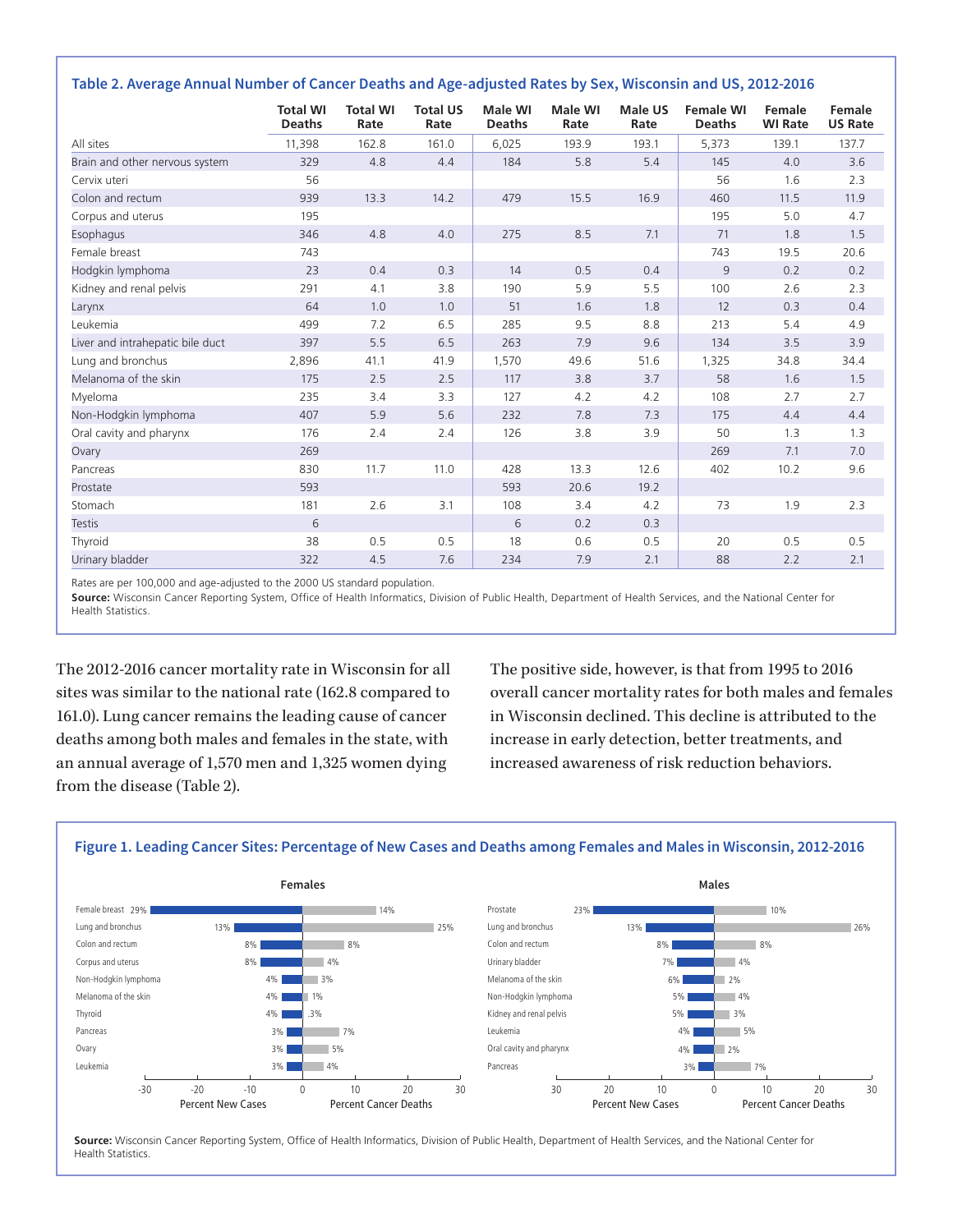|  |  |  | Table 2. Average Annual Number of Cancer Deaths and Age-adjusted Rates by Sex, Wisconsin and US, 2012-2016 |
|--|--|--|------------------------------------------------------------------------------------------------------------|
|--|--|--|------------------------------------------------------------------------------------------------------------|

|                                  | <b>Total WI</b><br><b>Deaths</b> | <b>Total WI</b><br>Rate | <b>Total US</b><br>Rate | <b>Male WI</b><br><b>Deaths</b> | Male WI<br>Rate | Male US<br>Rate | <b>Female WI</b><br><b>Deaths</b> | Female<br><b>WI Rate</b> | Female<br><b>US Rate</b> |
|----------------------------------|----------------------------------|-------------------------|-------------------------|---------------------------------|-----------------|-----------------|-----------------------------------|--------------------------|--------------------------|
| All sites                        | 11,398                           | 162.8                   | 161.0                   | 6,025                           | 193.9           | 193.1           | 5,373                             | 139.1                    | 137.7                    |
| Brain and other nervous system   | 329                              | 4.8                     | 4.4                     | 184                             | 5.8             | 5.4             | 145                               | 4.0                      | 3.6                      |
| Cervix uteri                     | 56                               |                         |                         |                                 |                 |                 | 56                                | 1.6                      | 2.3                      |
| Colon and rectum                 | 939                              | 13.3                    | 14.2                    | 479                             | 15.5            | 16.9            | 460                               | 11.5                     | 11.9                     |
| Corpus and uterus                | 195                              |                         |                         |                                 |                 |                 | 195                               | 5.0                      | 4.7                      |
| Esophagus                        | 346                              | 4.8                     | 4.0                     | 275                             | 8.5             | 7.1             | 71                                | 1.8                      | 1.5                      |
| Female breast                    | 743                              |                         |                         |                                 |                 |                 | 743                               | 19.5                     | 20.6                     |
| Hodgkin lymphoma                 | 23                               | 0.4                     | 0.3                     | 14                              | 0.5             | 0.4             | 9                                 | 0.2                      | 0.2                      |
| Kidney and renal pelvis          | 291                              | 4.1                     | 3.8                     | 190                             | 5.9             | 5.5             | 100                               | 2.6                      | 2.3                      |
| Larynx                           | 64                               | 1.0                     | 1.0                     | 51                              | 1.6             | 1.8             | 12                                | 0.3                      | 0.4                      |
| Leukemia                         | 499                              | 7.2                     | 6.5                     | 285                             | 9.5             | 8.8             | 213                               | 5.4                      | 4.9                      |
| Liver and intrahepatic bile duct | 397                              | 5.5                     | 6.5                     | 263                             | 7.9             | 9.6             | 134                               | 3.5                      | 3.9                      |
| Lung and bronchus                | 2,896                            | 41.1                    | 41.9                    | 1,570                           | 49.6            | 51.6            | 1,325                             | 34.8                     | 34.4                     |
| Melanoma of the skin             | 175                              | 2.5                     | 2.5                     | 117                             | 3.8             | 3.7             | 58                                | 1.6                      | 1.5                      |
| Myeloma                          | 235                              | 3.4                     | 3.3                     | 127                             | 4.2             | 4.2             | 108                               | 2.7                      | 2.7                      |
| Non-Hodgkin lymphoma             | 407                              | 5.9                     | 5.6                     | 232                             | 7.8             | 7.3             | 175                               | 4.4                      | 4.4                      |
| Oral cavity and pharynx          | 176                              | 2.4                     | 2.4                     | 126                             | 3.8             | 3.9             | 50                                | 1.3                      | 1.3                      |
| Ovary                            | 269                              |                         |                         |                                 |                 |                 | 269                               | 7.1                      | 7.0                      |
| Pancreas                         | 830                              | 11.7                    | 11.0                    | 428                             | 13.3            | 12.6            | 402                               | 10.2                     | 9.6                      |
| Prostate                         | 593                              |                         |                         | 593                             | 20.6            | 19.2            |                                   |                          |                          |
| Stomach                          | 181                              | 2.6                     | 3.1                     | 108                             | 3.4             | 4.2             | 73                                | 1.9                      | 2.3                      |
| <b>Testis</b>                    | 6                                |                         |                         | 6                               | 0.2             | 0.3             |                                   |                          |                          |
| Thyroid                          | 38                               | 0.5                     | 0.5                     | 18                              | 0.6             | 0.5             | 20                                | 0.5                      | 0.5                      |
| Urinary bladder                  | 322                              | 4.5                     | 7.6                     | 234                             | 7.9             | 2.1             | 88                                | 2.2                      | 2.1                      |

Rates are per 100,000 and age-adjusted to the 2000 US standard population.

**Source:** Wisconsin Cancer Reporting System, Office of Health Informatics, Division of Public Health, Department of Health Services, and the National Center for Health Statistics.

The 2012-2016 cancer mortality rate in Wisconsin for all sites was similar to the national rate (162.8 compared to 161.0). Lung cancer remains the leading cause of cancer deaths among both males and females in the state, with an annual average of 1,570 men and 1,325 women dying from the disease (Table 2).

The positive side, however, is that from 1995 to 2016 overall cancer mortality rates for both males and females in Wisconsin declined. This decline is attributed to the increase in early detection, better treatments, and increased awareness of risk reduction behaviors.

#### **Figure 1. Leading Cancer Sites: Percentage of New Cases and Deaths among Females and Males in Wisconsin, 2012-2016**



**Source:** Wisconsin Cancer Reporting System, Office of Health Informatics, Division of Public Health, Department of Health Services, and the National Center for Health Statistics.